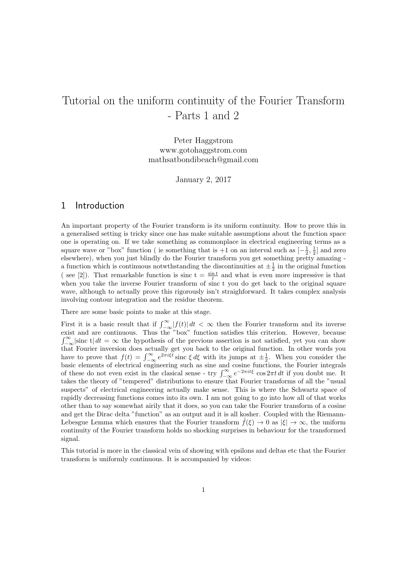# Tutorial on the uniform continuity of the Fourier Transform - Parts 1 and 2

Peter Haggstrom www.gotohaggstrom.com mathsatbondibeach@gmail.com

January 2, 2017

## 1 Introduction

An important property of the Fourier transform is its uniform continuity. How to prove this in a generalised setting is tricky since one has make suitable assumptions about the function space one is operating on. If we take something as commonplace in electrical engineering terms as a square wave or "box" function ( ie something that is  $+1$  on an interval such as  $\left[-\frac{1}{2},\frac{1}{2}\right]$  and zero elsewhere), when you just blindly do the Fourier transform you get something pretty amazing a function which is continuous notwthstanding the discontinuities at  $\pm \frac{1}{2}$  in the original function (see [2]). That remarkable function is sinc  $t = \frac{\sin t}{t}$  and what is even more impressive is that when you take the inverse Fourier transform of sinc t you do get back to the original square wave, although to actually prove this rigorously isn't straighforward. It takes complex analysis involving contour integration and the residue theorem.

There are some basic points to make at this stage.

First it is a basic result that if  $\int_{-\infty}^{\infty} |f(t)| dt < \infty$  then the Fourier transform and its inverse exist and are continuous. Thus the "box" function satisfies this criterion. However, because  $\int_{-\infty}^{\infty} |\text{sinc t}| dt = \infty$  the hypothesis of the previous assertion is not satisfied, yet you can show that Fourier inversion does actually get you back to the original function. In other words you have to prove that  $f(t) = \int_{-\infty}^{\infty} e^{2\pi i \xi t} \operatorname{sinc} \xi d\xi$  with its jumps at  $\pm \frac{1}{2}$ . When you consider the basic elements of electrical engineering such as sine and cosine functions, the Fourier integrals of these do not even exist in the clasical sense - try  $\int_{-\infty}^{\infty} e^{-2\pi i t\xi} \cos 2\pi t \, dt$  if you doubt me. It takes the theory of "tempered" distributions to ensure that Fourier transforms of all the "usual suspects" of electrical engineering actually make sense. This is where the Schwartz space of rapidly decreasing functions comes into its own. I am not going to go into how all of that works other than to say somewhat airily that it does, so you can take the Fourier transform of a cosine and get the Dirac delta "function" as an output and it is all kosher. Coupled with the Riemann-Lebesgue Lemma which ensures that the Fourier transform  $\hat{f}(\xi) \to 0$  as  $|\xi| \to \infty$ , the uniform continuity of the Fourier transform holds no shocking surprises in behaviour for the transformed signal.

This tutorial is more in the classical vein of showing with epsilons and deltas etc that the Fourier transform is uniformly continuous. It is accompanied by videos: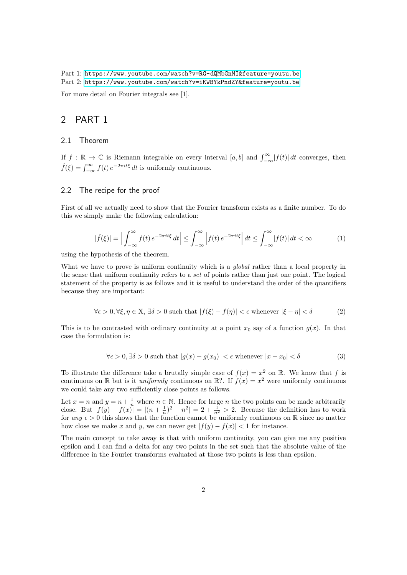Part 1: [https://www.youtube.com/watch?v=RG-dQMbGnMI&feature=youtu.be](https://www.youtube.com/watch?v=RG-dQMbGnMI&feature=youtu.be ) Part 2: <https://www.youtube.com/watch?v=iKWBYkPndZY&feature=youtu.be>

For more detail on Fourier integrals see [1].

## 2 PART 1

#### 2.1 Theorem

If  $f : \mathbb{R} \to \mathbb{C}$  is Riemann integrable on every interval  $[a, b]$  and  $\int_{-\infty}^{\infty} |f(t)| dt$  converges, then  $\hat{f}(\xi) = \int_{-\infty}^{\infty} f(t) e^{-2\pi it\xi} dt$  is uniformly continuous.

#### 2.2 The recipe for the proof

First of all we actually need to show that the Fourier transform exists as a finite number. To do this we simply make the following calculation:

$$
|\hat{f}(\xi)| = \Big| \int_{-\infty}^{\infty} f(t) e^{-2\pi it\xi} dt \Big| \le \int_{-\infty}^{\infty} \Big| f(t) e^{-2\pi it\xi} \Big| dt \le \int_{-\infty}^{\infty} |f(t)| dt < \infty \tag{1}
$$

using the hypothesis of the theorem.

What we have to prove is uniform continuity which is a *global* rather than a local property in the sense that uniform continuity refers to a set of points rather than just one point. The logical statement of the property is as follows and it is useful to understand the order of the quantifiers because they are important:

$$
\forall \epsilon > 0, \forall \xi, \eta \in \mathcal{X}, \exists \delta > 0 \text{ such that } |f(\xi) - f(\eta)| < \epsilon \text{ whenever } |\xi - \eta| < \delta \tag{2}
$$

This is to be contrasted with ordinary continuity at a point  $x_0$  say of a function  $g(x)$ . In that case the formulation is:

$$
\forall \epsilon > 0, \exists \delta > 0 \text{ such that } |g(x) - g(x_0)| < \epsilon \text{ whenever } |x - x_0| < \delta \tag{3}
$$

To illustrate the difference take a brutally simple case of  $f(x) = x^2$  on R. We know that f is continuous on R but is it *uniformly* continuous on R?. If  $f(x) = x^2$  were uniformly continuous we could take any two sufficiently close points as follows.

Let  $x = n$  and  $y = n + \frac{1}{n}$  where  $n \in \mathbb{N}$ . Hence for large n the two points can be made arbitrarily close. But  $|f(y) - f(x)| = |(n + \frac{1}{n})^2 - n^2| = 2 + \frac{1}{n^2} > 2$ . Because the definition has to work for any  $\epsilon > 0$  this shows that the function cannot be uniformly continuous on R since no matter how close we make x and y, we can never get  $|f(y) - f(x)| < 1$  for instance.

The main concept to take away is that with uniform continuity, you can give me any positive epsilon and I can find a delta for any two points in the set such that the absolute value of the difference in the Fourier transforms evaluated at those two points is less than epsilon.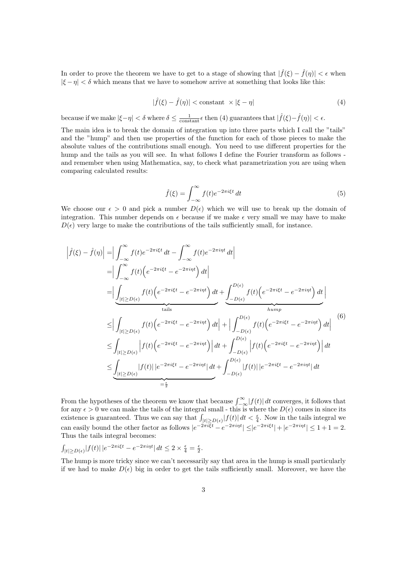In order to prove the theorem we have to get to a stage of showing that  $|\hat{f}(\xi) - \hat{f}(\eta)| < \epsilon$  when  $|\xi - \eta| < \delta$  which means that we have to somehow arrive at something that looks like this:

$$
|\hat{f}(\xi) - \hat{f}(\eta)| < \text{constant} \times |\xi - \eta| \tag{4}
$$

because if we make  $|\xi - \eta| < \delta$  where  $\delta \leq \frac{1}{\text{constant}} \epsilon$  then (4) guarantees that  $|\hat{f}(\xi) - \hat{f}(\eta)| < \epsilon$ .

The main idea is to break the domain of integration up into three parts which I call the "tails" and the "hump" and then use properties of the function for each of those pieces to make the absolute values of the contributions small enough. You need to use different properties for the hump and the tails as you will see. In what follows I define the Fourier transform as follows and remember when using Mathematica, say, to check what parametrization you are using when comparing calculated results:

$$
\hat{f}(\xi) = \int_{-\infty}^{\infty} f(t)e^{-2\pi i \xi t} dt
$$
\n(5)

We choose our  $\epsilon > 0$  and pick a number  $D(\epsilon)$  which we will use to break up the domain of integration. This number depends on  $\epsilon$  because if we make  $\epsilon$  very small we may have to make  $D(\epsilon)$  very large to make the contributions of the tails sufficiently small, for instance.

$$
\begin{split}\n\left| \hat{f}(\xi) - \hat{f}(\eta) \right| &= \Big| \int_{-\infty}^{\infty} f(t) e^{-2\pi i \xi t} \, dt - \int_{-\infty}^{\infty} f(t) e^{-2\pi i \eta t} \, dt \Big| \\
&= \Big| \int_{-\infty}^{\infty} f(t) \Big( e^{-2\pi i \xi t} - e^{-2\pi i \eta t} \Big) \, dt \Big| \\
&= \Big| \underbrace{\int_{|t| \ge D(\epsilon)} f(t) \Big( e^{-2\pi i \xi t} - e^{-2\pi i \eta t} \Big) \, dt}_{\text{tails}} + \underbrace{\int_{-D(\epsilon)}^{D(\epsilon)} f(t) \Big( e^{-2\pi i \xi t} - e^{-2\pi i \eta t} \Big) \, dt}_{\text{hump}} \Big| \\
&\le \Big| \int_{|t| \ge D(\epsilon)} f(t) \Big( e^{-2\pi i \xi t} - e^{-2\pi i \eta t} \Big) \, dt \Big| + \Big| \int_{-D(\epsilon)}^{D(\epsilon)} f(t) \Big( e^{-2\pi i \xi t} - e^{-2\pi i \eta t} \Big) \, dt \Big| \\
&\le \int_{|t| \ge D(\epsilon)} \Big| f(t) \Big( e^{-2\pi i \xi t} - e^{-2\pi i \eta t} \Big) \Big| \, dt + \int_{-D(\epsilon)}^{D(\epsilon)} \Big| f(t) \Big( e^{-2\pi i \xi t} - e^{-2\pi i \eta t} \Big) \Big| \, dt \\
&\le \underbrace{\int_{|t| \ge D(\epsilon)} |f(t)| \, |e^{-2\pi i \xi t} - e^{-2\pi i \eta t} \Big| \, dt}_{= \frac{\epsilon}{2}} + \int_{-D(\epsilon)}^{D(\epsilon)} |f(t)| \, |e^{-2\pi i \xi t} - e^{-2\pi i \eta t} \Big| \, dt \end{split}
$$

From the hypotheses of the theorem we know that because  $\int_{-\infty}^{\infty} |f(t)| dt$  converges, it follows that for any  $\epsilon > 0$  we can make the tails of the integral small - this is where the  $D(\epsilon)$  comes in since its existence is guaranteed. Thus we can say that  $\int_{|t|\ge D(\epsilon)} |f(t)| dt < \frac{\epsilon}{4}$ . Now in the tails integral we can easily bound the other factor as follows  $|e^{-2\pi i \xi t} - e^{-2\pi i \eta t}| \leq |e^{-2\pi i \xi t}| + |e^{-2\pi i \eta t}| \leq 1+1=2$ . Thus the tails integral becomes:

$$
\int_{|t| \ge D(\epsilon)} |f(t)| \, |e^{-2\pi i \xi t} - e^{-2\pi i \eta t}| \, dt \le 2 \times \frac{\epsilon}{4} = \frac{\epsilon}{2}.
$$

The hump is more tricky since we can't necessarily say that area in the hump is small particularly if we had to make  $D(\epsilon)$  big in order to get the tails sufficiently small. Moreover, we have the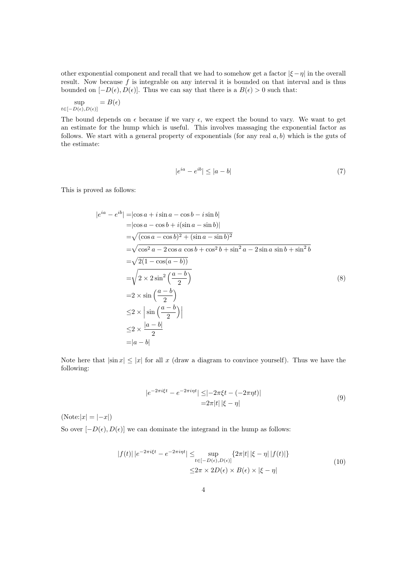other exponential component and recall that we had to somehow get a factor  $|\xi - \eta|$  in the overall result. Now because  $f$  is integrable on any interval it is bounded on that interval and is thus bounded on  $[-D(\epsilon), D(\epsilon)]$ . Thus we can say that there is a  $B(\epsilon) > 0$  such that:

$$
\sup_{t \in [-D(\epsilon), D(\epsilon)]} = B(\epsilon)
$$

The bound depends on  $\epsilon$  because if we vary  $\epsilon$ , we expect the bound to vary. We want to get an estimate for the hump which is useful. This involves massaging the exponential factor as follows. We start with a general property of exponentials (for any real  $a, b$ ) which is the guts of the estimate:

$$
|e^{ia} - e^{ib}| \le |a - b| \tag{7}
$$

This is proved as follows:

$$
|e^{ia} - e^{ib}| = |\cos a + i \sin a - \cos b - i \sin b|
$$
  
\n
$$
= |\cos a - \cos b + i(\sin a - \sin b)|
$$
  
\n
$$
= \sqrt{(\cos a - \cos b)^2 + (\sin a - \sin b)^2}
$$
  
\n
$$
= \sqrt{\cos^2 a - 2 \cos a \cos b + \cos^2 b + \sin^2 a - 2 \sin a \sin b + \sin^2 b}
$$
  
\n
$$
= \sqrt{2(1 - \cos(a - b))}
$$
  
\n
$$
= \sqrt{2 \times 2 \sin^2 \left(\frac{a - b}{2}\right)}
$$
  
\n
$$
= 2 \times \sin \left(\frac{a - b}{2}\right)
$$
  
\n
$$
\leq 2 \times \left| \sin \left(\frac{a - b}{2}\right) \right|
$$
  
\n
$$
\leq 2 \times \frac{|a - b|}{2}
$$
  
\n
$$
= |a - b|
$$

Note here that  $|\sin x| \leq |x|$  for all x (draw a diagram to convince yourself). Thus we have the following:

$$
|e^{-2\pi i \xi t} - e^{-2\pi i \eta t}| \leq |-2\pi \xi t - (-2\pi \eta t)|
$$
  
= 2\pi |t| |\xi - \eta| (9)

 $(Note:|x| = |-x|)$ 

So over  $[-D(\epsilon), D(\epsilon)]$  we can dominate the integrand in the hump as follows:

$$
|f(t)| |e^{-2\pi i \xi t} - e^{-2\pi i \eta t}| \leq \sup_{t \in [-D(\epsilon), D(\epsilon)]} \{2\pi |t| |\xi - \eta| |f(t)|\}
$$
  

$$
\leq 2\pi \times 2D(\epsilon) \times B(\epsilon) \times |\xi - \eta|
$$
 (10)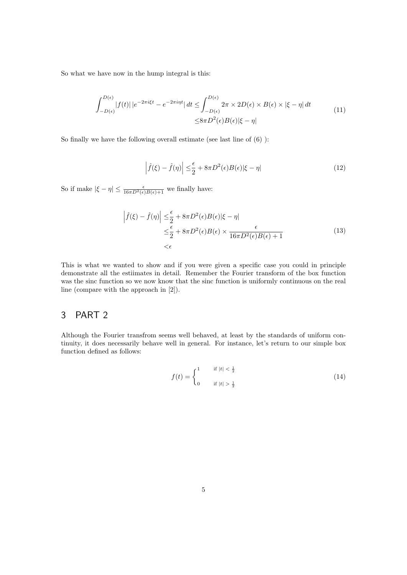So what we have now in the hump integral is this:

$$
\int_{-D(\epsilon)}^{D(\epsilon)} |f(t)| |e^{-2\pi i \xi t} - e^{-2\pi i \eta t}| dt \le \int_{-D(\epsilon)}^{D(\epsilon)} 2\pi \times 2D(\epsilon) \times B(\epsilon) \times |\xi - \eta| dt
$$
\n
$$
\le 8\pi D^2(\epsilon)B(\epsilon)|\xi - \eta|
$$
\n(11)

So finally we have the following overall estimate (see last line of (6) ):

$$
\left|\hat{f}(\xi) - \hat{f}(\eta)\right| \leq \frac{\epsilon}{2} + 8\pi D^2(\epsilon)B(\epsilon)|\xi - \eta| \tag{12}
$$

So if make  $|\xi - \eta| \leq \frac{\epsilon}{16\pi D^2(\epsilon)B(\epsilon)+1}$  we finally have:

$$
\left| \hat{f}(\xi) - \hat{f}(\eta) \right| \leq \frac{\epsilon}{2} + 8\pi D^2(\epsilon)B(\epsilon) |\xi - \eta|
$$
  

$$
\leq \frac{\epsilon}{2} + 8\pi D^2(\epsilon)B(\epsilon) \times \frac{\epsilon}{16\pi D^2(\epsilon)B(\epsilon) + 1}
$$
 (13)  

$$
< \epsilon
$$

This is what we wanted to show and if you were given a specific case you could in principle demonstrate all the estiimates in detail. Remember the Fourier transform of the box function was the sinc function so we now know that the sinc function is uniformly continuous on the real line (compare with the approach in [2]).

## 3 PART 2

Although the Fourier transfrom seems well behaved, at least by the standards of uniform continuity, it does necessarily behave well in general. For instance, let's return to our simple box function defined as follows:

$$
f(t) = \begin{cases} 1 & \text{if } |t| < \frac{1}{2} \\ 0 & \text{if } |t| > \frac{1}{2} \end{cases}
$$
 (14)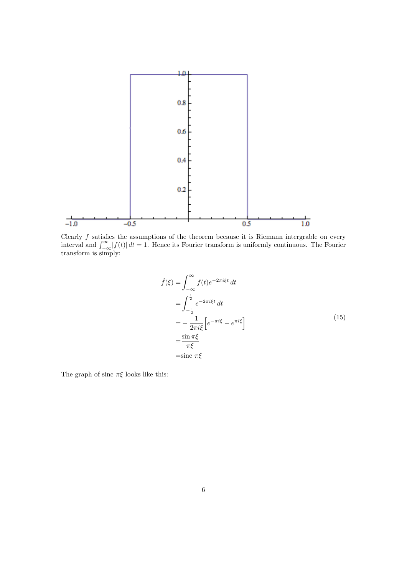

Clearly  $f$  satisfies the assumptions of the theorem because it is Riemann intergrable on every interval and  $\int_{-\infty}^{\infty} |f(t)| dt = 1$ . Hence its Fourier transform is uniformly continuous. The Fourier transform is simply:

$$
\hat{f}(\xi) = \int_{-\infty}^{\infty} f(t)e^{-2\pi i \xi t} dt
$$

$$
= \int_{-\frac{1}{2}}^{\frac{1}{2}} e^{-2\pi i \xi t} dt
$$

$$
= -\frac{1}{2\pi i \xi} \left[ e^{-\pi i \xi} - e^{\pi i \xi} \right]
$$

$$
= \frac{\sin \pi \xi}{\pi \xi}
$$

$$
= \text{sinc } \pi \xi
$$
(15)

The graph of sinc  $\pi \xi$  looks like this: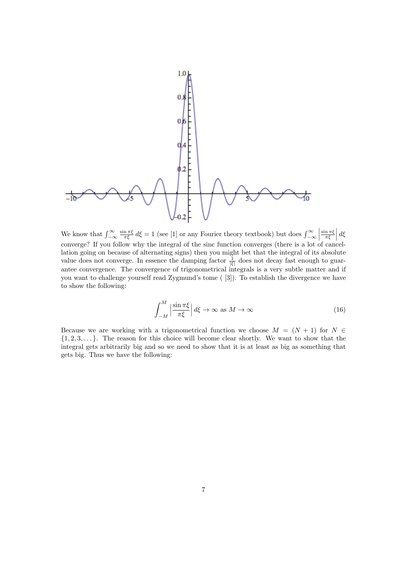

We know that  $\int_{-\infty}^{\infty} \frac{\sin \pi \xi}{\pi \xi} d\xi = 1$  (see [1] or any Fourier theory textbook) but does  $\int_{-\infty}^{\infty}$ We know that  $\int_{-\infty}^{\infty} \frac{\sin \pi \xi}{\pi \xi} d\xi = 1$  (see [1] or any Fourier theory textbook) but does  $\int_{-\infty}^{\infty} \left| \frac{\sin \pi \xi}{\pi \xi} \right| d\xi$ <br>converge? If you follow why the integral of the sinc function converges (there is a l lation going on because of alternating signs) then you might bet that the integral of its absolute value does not converge. In essence the damping factor  $\frac{1}{|\xi|}$  does not decay fast enough to guarantee convergence. The convergence of trigonometrical integrals is a very subtle matter and if you want to challenge yourself read Zygmund's tome ( [3]). To establish the divergence we have to show the following:

$$
\int_{-M}^{M} \left| \frac{\sin \pi \xi}{\pi \xi} \right| d\xi \to \infty \text{ as } M \to \infty \tag{16}
$$

Because we are working with a trigonometrical function we choose  $M = (N + 1)$  for  $N \in$  $\{1, 2, 3, \ldots\}$ . The reason for this choice will become clear shortly. We want to show that the integral gets arbitrarily big and so we need to show that it is at least as big as something that gets big. Thus we have the following: